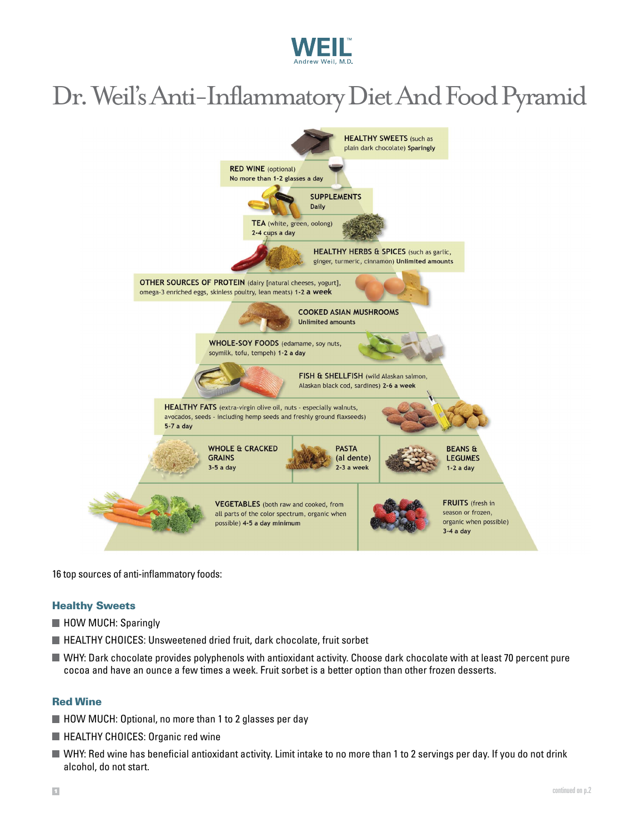

# Dr. Weil's Anti-Inflammatory Diet And Food Pyramid



16 top sources of anti-inflammatory foods:

#### Healthy Sweets

- **HOW MUCH: Sparingly**
- HEALTHY CHOICES: Unsweetened dried fruit, dark chocolate, fruit sorbet
- WHY: Dark chocolate provides polyphenols with antioxidant activity. Choose dark chocolate with at least 70 percent pure cocoa and have an ounce a few times a week. Fruit sorbet is a better option than other frozen desserts.

#### Red Wine

- HOW MUCH: Optional, no more than 1 to 2 glasses per day
- **HEALTHY CHOICES: Organic red wine**
- Why: Red wine has beneficial antioxidant activity. Limit intake to no more than 1 to 2 servings per day. If you do not drink alcohol, do not start.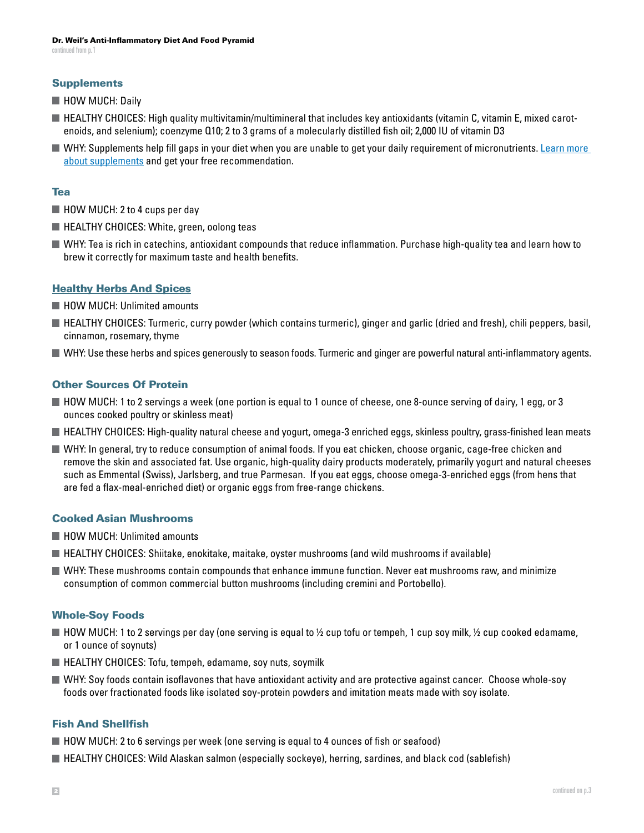#### **Supplements**

- **HOW MUCH: Daily**
- $\blacksquare$  HEALTHY CHOICES: High quality multivitamin/multimineral that includes key antioxidants (vitamin C, vitamin E, mixed carotenoids, and selenium); coenzyme Q10; 2 to 3 grams of a molecularly distilled fish oil; 2,000 IU of vitamin D3
- Why: Supplements help fill gaps in your diet when you are unable to get your daily requirement of micronutrients. [Learn more](https://www.weilvitaminadvisor.com/?aid=333316&aparam=DrW-FoodPyramidPDF&utm_source=DrW&utm_medium=referral&utm_content=DrW-FoodPyramidPDF&utm_campaign=VA)  [about supplements](https://www.weilvitaminadvisor.com/?aid=333316&aparam=DrW-FoodPyramidPDF&utm_source=DrW&utm_medium=referral&utm_content=DrW-FoodPyramidPDF&utm_campaign=VA) and get your free recommendation.

#### Tea

- HOW MUCH: 2 to 4 cups per day
- $\blacksquare$  HEALTHY CHOICES: White, green, oolong teas
- Why: Tea is rich in catechins, antioxidant compounds that reduce inflammation. Purchase high-quality tea and learn how to brew it correctly for maximum taste and health benefits.

#### [Healthy Herbs And Spices](https://www.drweil.com/diet-nutrition/cooking-cookware/cooking-with-spices/)

- **HOW MUCH: Unlimited amounts**
- HEALTHY CHOICES: Turmeric, curry powder (which contains turmeric), ginger and garlic (dried and fresh), chili peppers, basil, cinnamon, rosemary, thyme
- Why: Use these herbs and spices generously to season foods. Turmeric and ginger are powerful natural anti-inflammatory agents.

# Other Sources Of Protein

- How much: 1 to 2 servings a week (one portion is equal to 1 ounce of cheese, one 8-ounce serving of dairy, 1 egg, or 3 ounces cooked poultry or skinless meat)
- $\blacksquare$  HEALTHY CHOICES: High-quality natural cheese and yogurt, omega-3 enriched eggs, skinless poultry, grass-finished lean meats
- Why: In general, try to reduce consumption of animal foods. If you eat chicken, choose organic, cage-free chicken and remove the skin and associated fat. Use organic, high-quality dairy products moderately, primarily yogurt and natural cheeses such as Emmental (Swiss), Jarlsberg, and true Parmesan. If you eat eggs, choose omega-3-enriched eggs (from hens that are fed a flax-meal-enriched diet) or organic eggs from free-range chickens.

#### Cooked Asian Mushrooms

- **HOW MUCH: Unlimited amounts**
- $\blacksquare$  HEALTHY CHOICES: Shiitake, enokitake, maitake, oyster mushrooms (and wild mushrooms if available)
- Why: These mushrooms contain compounds that enhance immune function. Never eat mushrooms raw, and minimize consumption of common commercial button mushrooms (including cremini and Portobello).

#### Whole-Soy Foods

- $\blacksquare$  HOW MUCH: 1 to 2 servings per day (one serving is equal to ½ cup tofu or tempeh, 1 cup soy milk, ½ cup cooked edamame, or 1 ounce of soynuts)
- $\blacksquare$  HEALTHY CHOICES: Tofu, tempeh, edamame, soy nuts, soymilk
- Why: Soy foods contain isoflavones that have antioxidant activity and are protective against cancer. Choose whole-soy foods over fractionated foods like isolated soy-protein powders and imitation meats made with soy isolate.

#### Fish And Shellfish

- $\blacksquare$  HOW MUCH: 2 to 6 servings per week (one serving is equal to 4 ounces of fish or seafood)
- **HEALTHY CHOICES: Wild Alaskan salmon (especially sockeye), herring, sardines, and black cod (sablefish)**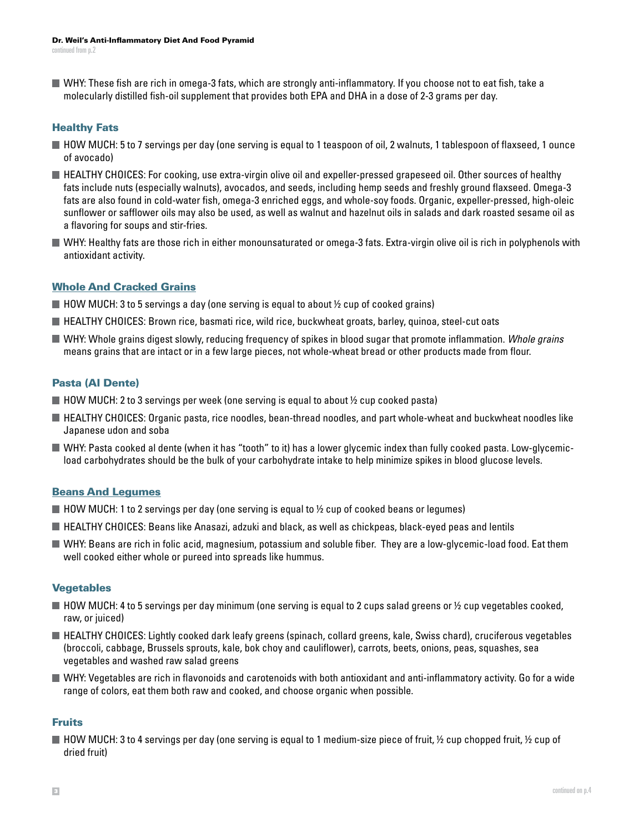Why: These fish are rich in omega-3 fats, which are strongly anti-inflammatory. If you choose not to eat fish, take a molecularly distilled fish-oil supplement that provides both EPA and DHA in a dose of 2-3 grams per day.

# Healthy Fats

- HOW MUCH: 5 to 7 servings per day (one serving is equal to 1 teaspoon of oil, 2 walnuts, 1 tablespoon of flaxseed, 1 ounce of avocado)
- HEALTHY CHOICES: For cooking, use extra-virgin olive oil and expeller-pressed grapeseed oil. Other sources of healthy fats include nuts (especially walnuts), avocados, and seeds, including hemp seeds and freshly ground flaxseed. Omega-3 fats are also found in cold-water fish, omega-3 enriched eggs, and whole-soy foods. Organic, expeller-pressed, high-oleic sunflower or safflower oils may also be used, as well as walnut and hazelnut oils in salads and dark roasted sesame oil as a flavoring for soups and stir-fries.
- Why: Healthy fats are those rich in either monounsaturated or omega-3 fats. Extra-virgin olive oil is rich in polyphenols with antioxidant activity.

# [Whole And Cracked Grains](https://www.drweil.com/diet-nutrition/anti-inflammatory-diet-pyramid/cooking-with-whole-grains/)

- $\blacksquare$  HOW MUCH: 3 to 5 servings a day (one serving is equal to about  $\frac{1}{2}$  cup of cooked grains)
- HEALTHY CHOICES: Brown rice, basmati rice, wild rice, buckwheat groats, barley, quinoa, steel-cut oats
- Why: Whole grains digest slowly, reducing frequency of spikes in blood sugar that promote inflammation. *Whole grains* means grains that are intact or in a few large pieces, not whole-wheat bread or other products made from flour.

# Pasta (Al Dente)

- $\blacksquare$  HOW MUCH: 2 to 3 servings per week (one serving is equal to about  $\frac{1}{2}$  cup cooked pasta)
- HEALTHY CHOICES: Organic pasta, rice noodles, bean-thread noodles, and part whole-wheat and buckwheat noodles like Japanese udon and soba
- Why: Pasta cooked al dente (when it has "tooth" to it) has a lower glycemic index than fully cooked pasta. Low-glycemicload carbohydrates should be the bulk of your carbohydrate intake to help minimize spikes in blood glucose levels.

# [Beans And Legumes](https://www.drweil.com/diet-nutrition/anti-inflammatory-diet-pyramid/cooking-with-beans-legumes/)

- $\blacksquare$  HOW MUCH: 1 to 2 servings per day (one serving is equal to  $\frac{1}{2}$  cup of cooked beans or legumes)
- **HEALTHY CHOICES: Beans like Anasazi, adzuki and black, as well as chickpeas, black-eyed peas and lentils**
- Why: Beans are rich in folic acid, magnesium, potassium and soluble fiber. They are a low-glycemic-load food. Eat them well cooked either whole or pureed into spreads like hummus.

# **Vegetables**

- $\blacksquare$  HOW MUCH: 4 to 5 servings per day minimum (one serving is equal to 2 cups salad greens or  $\frac{1}{2}$  cup vegetables cooked, raw, or juiced)
- HEALTHY CHOICES: Lightly cooked dark leafy greens (spinach, collard greens, kale, Swiss chard), cruciferous vegetables (broccoli, cabbage, Brussels sprouts, kale, bok choy and cauliflower), carrots, beets, onions, peas, squashes, sea vegetables and washed raw salad greens
- Why: Vegetables are rich in flavonoids and carotenoids with both antioxidant and anti-inflammatory activity. Go for a wide range of colors, eat them both raw and cooked, and choose organic when possible.

# Fruits

 $\blacksquare$  HOW MUCH: 3 to 4 servings per day (one serving is equal to 1 medium-size piece of fruit,  $\frac{1}{2}$  cup chopped fruit,  $\frac{1}{2}$  cup of dried fruit)